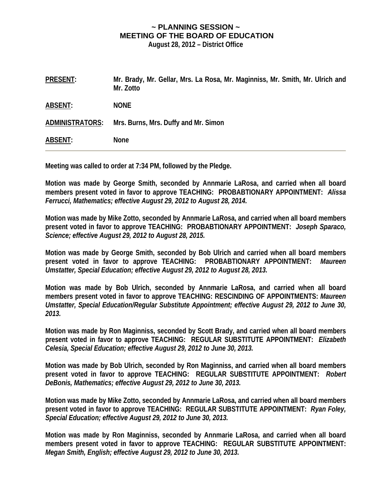## **~ PLANNING SESSION ~ MEETING OF THE BOARD OF EDUCATION**

**August 28, 2012 – District Office** 

**PRESENT: Mr. Brady, Mr. Gellar, Mrs. La Rosa, Mr. Maginniss, Mr. Smith, Mr. Ulrich and Mr. Zotto ABSENT: NONE ADMINISTRATORS: Mrs. Burns, Mrs. Duffy and Mr. Simon ABSENT: None** 

**Meeting was called to order at 7:34 PM, followed by the Pledge.** 

**Motion was made by George Smith, seconded by Annmarie LaRosa, and carried when all board members present voted in favor to approve TEACHING: PROBABTIONARY APPOINTMENT:** *Alissa Ferrucci, Mathematics; effective August 29, 2012 to August 28, 2014.* 

**Motion was made by Mike Zotto, seconded by Annmarie LaRosa, and carried when all board members present voted in favor to approve TEACHING: PROBABTIONARY APPOINTMENT:** *Joseph Sparaco, Science; effective August 29, 2012 to August 28, 2015.* 

**Motion was made by George Smith, seconded by Bob Ulrich and carried when all board members present voted in favor to approve TEACHING: PROBABTIONARY APPOINTMENT:** *Maureen Umstatter, Special Education; effective August 29, 2012 to August 28, 2013.* 

**Motion was made by Bob Ulrich, seconded by Annmarie LaRosa, and carried when all board members present voted in favor to approve TEACHING: RESCINDING OF APPOINTMENTS:** *Maureen Umstatter, Special Education/Regular Substitute Appointment; effective August 29, 2012 to June 30, 2013.* 

**Motion was made by Ron Maginniss, seconded by Scott Brady, and carried when all board members present voted in favor to approve TEACHING: REGULAR SUBSTITUTE APPOINTMENT:** *Elizabeth Celesia, Special Education; effective August 29, 2012 to June 30, 2013.* 

**Motion was made by Bob Ulrich, seconded by Ron Maginniss, and carried when all board members present voted in favor to approve TEACHING: REGULAR SUBSTITUTE APPOINTMENT:** *Robert DeBonis, Mathematics; effective August 29, 2012 to June 30, 2013.* 

**Motion was made by Mike Zotto, seconded by Annmarie LaRosa, and carried when all board members present voted in favor to approve TEACHING: REGULAR SUBSTITUTE APPOINTMENT:** *Ryan Foley, Special Education; effective August 29, 2012 to June 30, 2013.* 

**Motion was made by Ron Maginniss, seconded by Annmarie LaRosa, and carried when all board members present voted in favor to approve TEACHING: REGULAR SUBSTITUTE APPOINTMENT:**  *Megan Smith, English; effective August 29, 2012 to June 30, 2013.*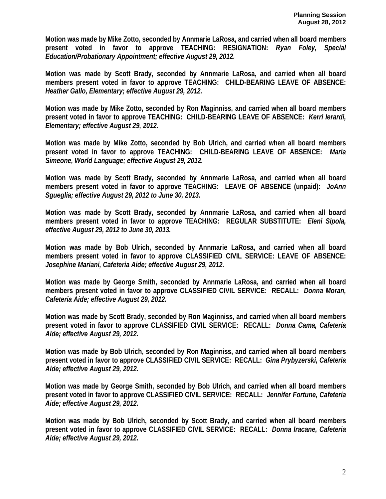**Motion was made by Mike Zotto, seconded by Annmarie LaRosa, and carried when all board members present voted in favor to approve TEACHING: RESIGNATION:** *Ryan Foley, Special Education/Probationary Appointment; effective August 29, 2012.* 

**Motion was made by Scott Brady, seconded by Annmarie LaRosa, and carried when all board members present voted in favor to approve TEACHING: CHILD-BEARING LEAVE OF ABSENCE:**  *Heather Gallo, Elementary; effective August 29, 2012.* 

**Motion was made by Mike Zotto, seconded by Ron Maginniss, and carried when all board members present voted in favor to approve TEACHING: CHILD-BEARING LEAVE OF ABSENCE:** *Kerri Ierardi, Elementary; effective August 29, 2012.* 

**Motion was made by Mike Zotto, seconded by Bob Ulrich, and carried when all board members present voted in favor to approve TEACHING: CHILD-BEARING LEAVE OF ABSENCE:** *Maria Simeone, World Language; effective August 29, 2012.* 

**Motion was made by Scott Brady, seconded by Annmarie LaRosa, and carried when all board members present voted in favor to approve TEACHING: LEAVE OF ABSENCE (unpaid):** *JoAnn Sgueglia; effective August 29, 2012 to June 30, 2013.* 

**Motion was made by Scott Brady, seconded by Annmarie LaRosa, and carried when all board members present voted in favor to approve TEACHING: REGULAR SUBSTITUTE:** *Eleni Sipola, effective August 29, 2012 to June 30, 2013.* 

**Motion was made by Bob Ulrich, seconded by Annmarie LaRosa, and carried when all board members present voted in favor to approve CLASSIFIED CIVIL SERVICE: LEAVE OF ABSENCE:**  *Josephine Mariani, Cafeteria Aide; effective August 29, 2012.* 

**Motion was made by George Smith, seconded by Annmarie LaRosa, and carried when all board members present voted in favor to approve CLASSIFIED CIVIL SERVICE: RECALL:** *Donna Moran, Cafeteria Aide; effective August 29, 2012.* 

**Motion was made by Scott Brady, seconded by Ron Maginniss, and carried when all board members present voted in favor to approve CLASSIFIED CIVIL SERVICE: RECALL:** *Donna Cama, Cafeteria Aide; effective August 29, 2012.* 

**Motion was made by Bob Ulrich, seconded by Ron Maginniss, and carried when all board members present voted in favor to approve CLASSIFIED CIVIL SERVICE: RECALL:** *Gina Prybyzerski, Cafeteria Aide; effective August 29, 2012.* 

**Motion was made by George Smith, seconded by Bob Ulrich, and carried when all board members present voted in favor to approve CLASSIFIED CIVIL SERVICE: RECALL:** *Jennifer Fortune, Cafeteria Aide; effective August 29, 2012.* 

**Motion was made by Bob Ulrich, seconded by Scott Brady, and carried when all board members present voted in favor to approve CLASSIFIED CIVIL SERVICE: RECALL:** *Donna Iracane, Cafeteria Aide; effective August 29, 2012.*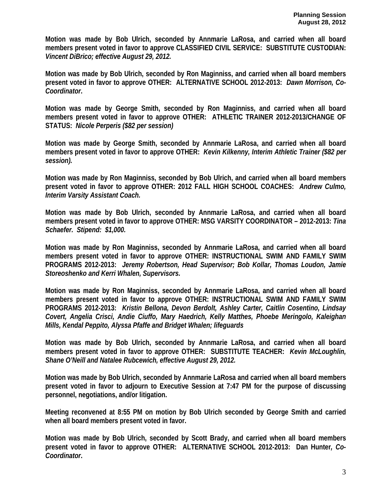**Motion was made by Bob Ulrich, seconded by Annmarie LaRosa, and carried when all board members present voted in favor to approve CLASSIFIED CIVIL SERVICE: SUBSTITUTE CUSTODIAN:**  *Vincent DiBrico; effective August 29, 2012.* 

**Motion was made by Bob Ulrich, seconded by Ron Maginniss, and carried when all board members present voted in favor to approve OTHER: ALTERNATIVE SCHOOL 2012-2013:** *Dawn Morrison, Co-Coordinator***.** 

**Motion was made by George Smith, seconded by Ron Maginniss, and carried when all board members present voted in favor to approve OTHER: ATHLETIC TRAINER 2012-2013/CHANGE OF STATUS:** *Nicole Perperis (\$82 per session)* 

**Motion was made by George Smith, seconded by Annmarie LaRosa, and carried when all board members present voted in favor to approve OTHER:** *Kevin Kilkenny, Interim Athletic Trainer (\$82 per session).* 

**Motion was made by Ron Maginniss, seconded by Bob Ulrich, and carried when all board members present voted in favor to approve OTHER: 2012 FALL HIGH SCHOOL COACHES:** *Andrew Culmo, Interim Varsity Assistant Coach.* 

**Motion was made by Bob Ulrich, seconded by Annmarie LaRosa, and carried when all board members present voted in favor to approve OTHER: MSG VARSITY COORDINATOR – 2012-2013:** *Tina Schaefer. Stipend: \$1,000.* 

**Motion was made by Ron Maginniss, seconded by Annmarie LaRosa, and carried when all board members present voted in favor to approve OTHER: INSTRUCTIONAL SWIM AND FAMILY SWIM PROGRAMS 2012-2013:** *Jeremy Robertson, Head Supervisor; Bob Kollar, Thomas Loudon, Jamie Storeoshenko and Kerri Whalen, Supervisors.* 

**Motion was made by Ron Maginniss, seconded by Annmarie LaRosa, and carried when all board members present voted in favor to approve OTHER: INSTRUCTIONAL SWIM AND FAMILY SWIM PROGRAMS 2012-2013:** *Kristin Bellona, Devon Berdolt, Ashley Carter, Caitlin Cosentino, Lindsay Covert, Angelia Crisci, Andie Ciuffo, Mary Haedrich, Kelly Matthes, Phoebe Meringolo, Kaleighan Mills, Kendal Peppito, Alyssa Pfaffe and Bridget Whalen; lifeguards* 

**Motion was made by Bob Ulrich, seconded by Annmarie LaRosa, and carried when all board members present voted in favor to approve OTHER: SUBSTITUTE TEACHER:** *Kevin McLoughlin, Shane O'Neill and Natalee Rubcewich, effective August 29, 2012.* 

**Motion was made by Bob Ulrich, seconded by Annmarie LaRosa and carried when all board members present voted in favor to adjourn to Executive Session at 7:47 PM for the purpose of discussing personnel, negotiations, and/or litigation.** 

**Meeting reconvened at 8:55 PM on motion by Bob Ulrich seconded by George Smith and carried when all board members present voted in favor.** 

**Motion was made by Bob Ulrich, seconded by Scott Brady, and carried when all board members present voted in favor to approve OTHER: ALTERNATIVE SCHOOL 2012-2013: Dan Hunter***, Co-Coordinator***.**